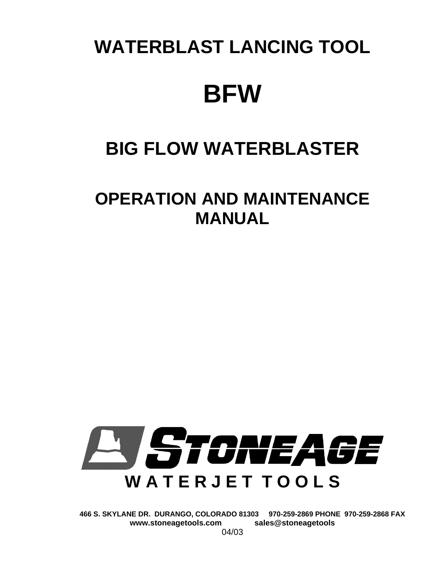# **WATERBLAST LANCING TOOL BFW**

## **BIG FLOW WATERBLASTER**

### **OPERATION AND MAINTENANCE MANUAL**



**466 S. SKYLANE DR. DURANGO, COLORADO 81303 970-259-2869 PHONE 970-259-2868 FAX**  www.stoneagetools.com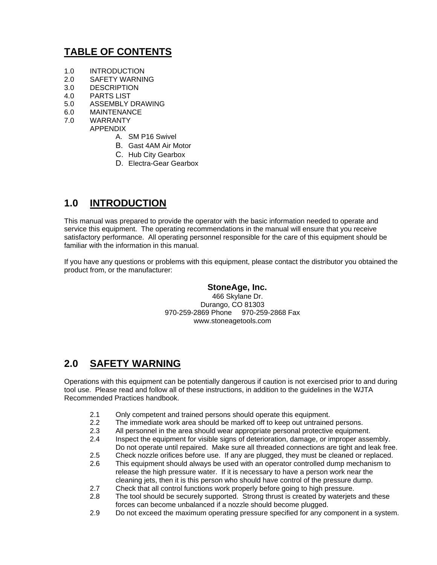#### **TABLE OF CONTENTS**

- 1.0 INTRODUCTION
- 2.0 SAFETY WARNING
- 3.0 DESCRIPTION
- 4.0 PARTS LIST
- 5.0 ASSEMBLY DRAWING
- 6.0 MAINTENANCE
- 7.0 WARRANTY
	- APPENDIX
		- A. SM P16 Swivel
		- B. Gast 4AM Air Motor
		- C. Hub City Gearbox
		- D. Electra-Gear Gearbox

#### **1.0 INTRODUCTION**

This manual was prepared to provide the operator with the basic information needed to operate and service this equipment. The operating recommendations in the manual will ensure that you receive satisfactory performance. All operating personnel responsible for the care of this equipment should be familiar with the information in this manual.

If you have any questions or problems with this equipment, please contact the distributor you obtained the product from, or the manufacturer:

#### **StoneAge, Inc.**

466 Skylane Dr. Durango, CO 81303 970-259-2869 Phone 970-259-2868 Fax www.stoneagetools.com

#### **2.0 SAFETY WARNING**

Operations with this equipment can be potentially dangerous if caution is not exercised prior to and during tool use. Please read and follow all of these instructions, in addition to the guidelines in the WJTA Recommended Practices handbook.

- 2.1 Only competent and trained persons should operate this equipment.
- 2.2 The immediate work area should be marked off to keep out untrained persons.
- 2.3 All personnel in the area should wear appropriate personal protective equipment.
- 2.4 Inspect the equipment for visible signs of deterioration, damage, or improper assembly. Do not operate until repaired. Make sure all threaded connections are tight and leak free.
- 2.5 Check nozzle orifices before use. If any are plugged, they must be cleaned or replaced.
- 2.6 This equipment should always be used with an operator controlled dump mechanism to release the high pressure water. If it is necessary to have a person work near the cleaning jets, then it is this person who should have control of the pressure dump.
- 2.7 Check that all control functions work properly before going to high pressure.
- 2.8 The tool should be securely supported. Strong thrust is created by waterjets and these forces can become unbalanced if a nozzle should become plugged.
- 2.9 Do not exceed the maximum operating pressure specified for any component in a system.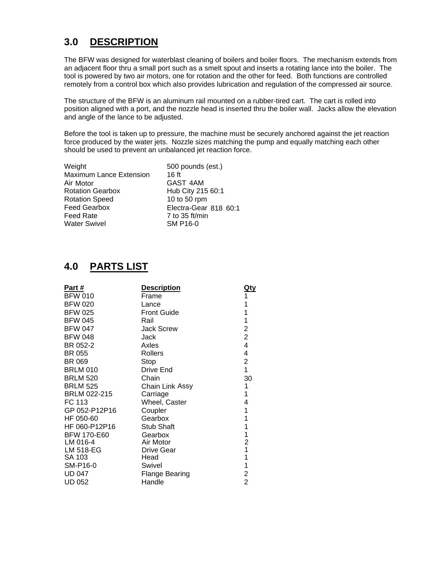#### **3.0 DESCRIPTION**

The BFW was designed for waterblast cleaning of boilers and boiler floors. The mechanism extends from an adjacent floor thru a small port such as a smelt spout and inserts a rotating lance into the boiler. The tool is powered by two air motors, one for rotation and the other for feed. Both functions are controlled remotely from a control box which also provides lubrication and regulation of the compressed air source.

The structure of the BFW is an aluminum rail mounted on a rubber-tired cart. The cart is rolled into position aligned with a port, and the nozzle head is inserted thru the boiler wall. Jacks allow the elevation and angle of the lance to be adjusted.

Before the tool is taken up to pressure, the machine must be securely anchored against the jet reaction force produced by the water jets. Nozzle sizes matching the pump and equally matching each other should be used to prevent an unbalanced jet reaction force.

| Weight                  | 500 pounds (est.)     |
|-------------------------|-----------------------|
| Maximum Lance Extension | 16 ft                 |
| Air Motor               | GAST 4AM              |
| <b>Rotation Gearbox</b> | Hub City 215 60:1     |
| <b>Rotation Speed</b>   | 10 to 50 rpm          |
| <b>Feed Gearbox</b>     | Electra-Gear 818 60:1 |
| <b>Feed Rate</b>        | $7$ to 35 ft/min      |
| <b>Water Swivel</b>     | <b>SM P16-0</b>       |

#### **4.0 PARTS LIST**

| Part#              | <b>Description</b>     | <u>Qty</u>              |
|--------------------|------------------------|-------------------------|
| <b>BFW 010</b>     | Frame                  | 1                       |
| <b>BFW 020</b>     | Lance                  | 1                       |
| <b>BFW 025</b>     | <b>Front Guide</b>     | 1                       |
| <b>BFW 045</b>     | Rail                   | 1                       |
| <b>BFW 047</b>     | <b>Jack Screw</b>      | 2                       |
| <b>BFW 048</b>     | Jack                   | $\overline{c}$          |
| BR 052-2           | Axles                  | 4                       |
| BR 055             | <b>Rollers</b>         | 4                       |
| <b>BR 069</b>      | Stop                   | $\overline{2}$          |
| <b>BRLM 010</b>    | Drive End              | 1                       |
| <b>BRLM 520</b>    | Chain                  | 30                      |
| <b>BRLM 525</b>    | <b>Chain Link Assy</b> | 1                       |
| BRLM 022-215       | Carriage               | 1                       |
| FC 113             | Wheel, Caster          | 4                       |
| GP 052-P12P16      | Coupler                | 1                       |
| HF 050-60          | Gearbox                | 1                       |
| HF 060-P12P16      | <b>Stub Shaft</b>      | 1                       |
| <b>BFW 170-E60</b> | Gearbox                | 1                       |
| LM 016-4           | Air Motor              | $\overline{\mathbf{c}}$ |
| LM 518-EG          | Drive Gear             | 1                       |
| SA 103             | Head                   | 1                       |
| SM-P16-0           | Swivel                 | 1                       |
| <b>UD 047</b>      | Flange Bearing         | 2                       |
| <b>UD 052</b>      | Handle                 | $\overline{2}$          |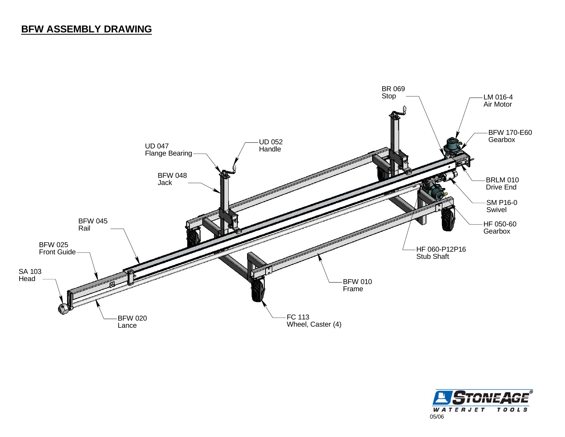#### **BFW ASSEMBLY DRAWING**